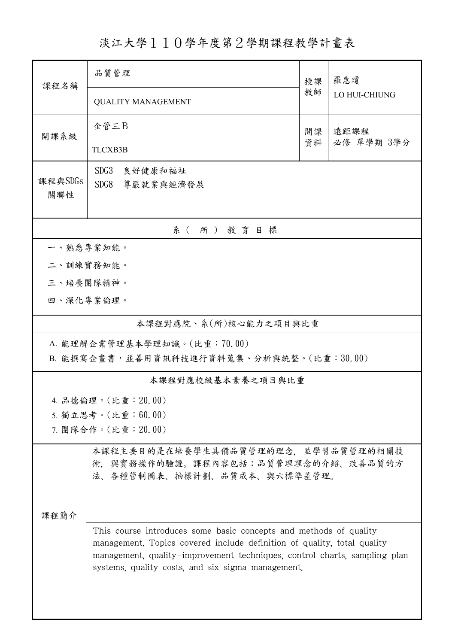淡江大學110學年度第2學期課程教學計畫表

| 課程名稱                        | 品質管理                                                                                                                                         |          | 羅惠瓊                |  |  |
|-----------------------------|----------------------------------------------------------------------------------------------------------------------------------------------|----------|--------------------|--|--|
|                             | <b>QUALITY MANAGEMENT</b>                                                                                                                    | 教師       | LO HUI-CHIUNG      |  |  |
| 開課系級                        | 企管三B                                                                                                                                         | 開課<br>資料 | 遠距課程<br>必修 單學期 3學分 |  |  |
|                             | <b>TLCXB3B</b>                                                                                                                               |          |                    |  |  |
| 課程與SDGs                     | SDG <sub>3</sub><br>良好健康和福祉                                                                                                                  |          |                    |  |  |
| 關聯性                         | SDG8<br>尊嚴就業與經濟發展                                                                                                                            |          |                    |  |  |
|                             | 系(所)教育目標                                                                                                                                     |          |                    |  |  |
| 一、熟悉專業知能。                   |                                                                                                                                              |          |                    |  |  |
| 二、訓練實務知能。                   |                                                                                                                                              |          |                    |  |  |
| 三、培養團隊精神。                   |                                                                                                                                              |          |                    |  |  |
| 四、深化專業倫理。                   |                                                                                                                                              |          |                    |  |  |
| 本課程對應院、系(所)核心能力之項目與比重       |                                                                                                                                              |          |                    |  |  |
| A. 能理解企業管理基本學理知識。(比重:70.00) |                                                                                                                                              |          |                    |  |  |
|                             | B. 能撰寫企畫書,並善用資訊科技進行資料蒐集、分析與統整。(比重:30.00)                                                                                                     |          |                    |  |  |
| 本課程對應校級基本素養之項目與比重           |                                                                                                                                              |          |                    |  |  |
|                             | 4. 品德倫理。(比重:20.00)                                                                                                                           |          |                    |  |  |
|                             | 5. 獨立思考。(比重:60.00)<br>7. 團隊合作。(比重: 20.00)                                                                                                    |          |                    |  |  |
|                             | 本課程主要目的是在培養學生具備品質管理的理念,並學習品質管理的相關技                                                                                                           |          |                    |  |  |
|                             | 術,與實務操作的驗證。課程內容包括:品質管理理念的介紹、改善品質的方                                                                                                           |          |                    |  |  |
|                             | 法、各種管制圖表、抽樣計劃、品質成本、與六標準差管理。                                                                                                                  |          |                    |  |  |
|                             |                                                                                                                                              |          |                    |  |  |
| 課程簡介                        |                                                                                                                                              |          |                    |  |  |
|                             | This course introduces some basic concepts and methods of quality<br>management. Topics covered include definition of quality, total quality |          |                    |  |  |
|                             | management, quality-improvement techniques, control charts, sampling plan                                                                    |          |                    |  |  |
|                             | systems, quality costs, and six sigma management.                                                                                            |          |                    |  |  |
|                             |                                                                                                                                              |          |                    |  |  |
|                             |                                                                                                                                              |          |                    |  |  |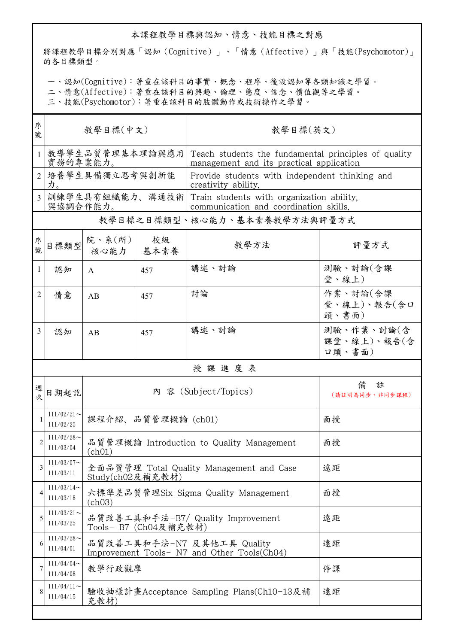## 本課程教學目標與認知、情意、技能目標之對應

將課程教學目標分別對應「認知(Cognitive)」、「情意(Affective)」與「技能(Psychomotor)」 的各目標類型。

一、認知(Cognitive):著重在該科目的事實、概念、程序、後設認知等各類知識之學習。

二、情意(Affective):著重在該科目的興趣、倫理、態度、信念、價值觀等之學習。

三、技能(Psychomotor):著重在該科目的肢體動作或技術操作之學習。

| 序<br>號         | 教學目標(中文)                     |                                                                    |                                                                           | 教學目標(英文)                                                                                         |                                     |  |  |
|----------------|------------------------------|--------------------------------------------------------------------|---------------------------------------------------------------------------|--------------------------------------------------------------------------------------------------|-------------------------------------|--|--|
| 1              | 教導學生品質管理基本理論與應用<br>實務的專業能力。  |                                                                    |                                                                           | Teach students the fundamental principles of quality<br>management and its practical application |                                     |  |  |
| $\overline{2}$ | 培養學生具備獨立思考與創新能<br>力。         |                                                                    |                                                                           | Provide students with independent thinking and<br>creativity ability.                            |                                     |  |  |
| 3              | 訓練學生具有組織能力、溝通技術<br>與協調合作能力。  |                                                                    |                                                                           | Train students with organization ability.<br>communication and coordination skills.              |                                     |  |  |
|                | 教學目標之目標類型、核心能力、基本素養教學方法與評量方式 |                                                                    |                                                                           |                                                                                                  |                                     |  |  |
| 序號             | 目標類型                         | 院、系 $(\text{m})$<br>核心能力                                           | 校級<br>基本素養                                                                | 教學方法                                                                                             | 評量方式                                |  |  |
| 1              | 認知                           | $\mathbf{A}$                                                       | 457                                                                       | 講述、討論                                                                                            | 測驗、討論(含課<br>堂、線上)                   |  |  |
| 2              | 情意                           | AB                                                                 | 457                                                                       | 討論                                                                                               | 作業、討論(含課<br>堂、線上)、報告(含口<br>頭、書面)    |  |  |
| 3              | 認知                           | AB                                                                 | 457                                                                       | 講述、討論                                                                                            | 測驗、作業、討論(含<br>課堂、線上)、報告(含<br>口頭、書面) |  |  |
|                | 授課進度表                        |                                                                    |                                                                           |                                                                                                  |                                     |  |  |
| 週<br>次         | 日期起訖                         | 內 容 (Subject/Topics)                                               |                                                                           |                                                                                                  | 註<br>備<br>(請註明為同步、非同步課程)            |  |  |
|                | $111/02/21$ ~<br>111/02/25   | 課程介紹、品質管理概論 (ch01)                                                 |                                                                           |                                                                                                  | 面授                                  |  |  |
| $\overline{c}$ | $111/02/28$ ~<br>111/03/04   | (ch01)                                                             | 品質管理概論 Introduction to Quality Management                                 | 面授                                                                                               |                                     |  |  |
| 3              | $111/03/07$ ~<br>111/03/11   | 全面品質管理 Total Quality Management and Case<br>遠距<br>Study(ch02及補充教材) |                                                                           |                                                                                                  |                                     |  |  |
| 4              | $111/03/14$ ~<br>111/03/18   | 六標準差品質管理Six Sigma Quality Management<br>面授<br>(ch03)               |                                                                           |                                                                                                  |                                     |  |  |
| 5              | $111/03/21$ ~<br>111/03/25   |                                                                    | 品質改善工具和手法-B7/ Quality Improvement<br>Tools- B7 (Ch04及補充教材)                | 遠距                                                                                               |                                     |  |  |
| 6              | $111/03/28$ ~<br>111/04/01   |                                                                    | 品質改善工具和手法-N7 及其他工具 Quality<br>Improvement Tools- N7 and Other Tools(Ch04) | 遠距                                                                                               |                                     |  |  |
| 7              | $111/04/04$ ~<br>111/04/08   | 教學行政觀摩                                                             |                                                                           | 停課                                                                                               |                                     |  |  |
| 8              | $111/04/11$ ~<br>111/04/15   | 驗收抽樣計畫Acceptance Sampling Plans(Ch10-13及補<br>遠距<br>充教材)            |                                                                           |                                                                                                  |                                     |  |  |
|                |                              |                                                                    |                                                                           |                                                                                                  |                                     |  |  |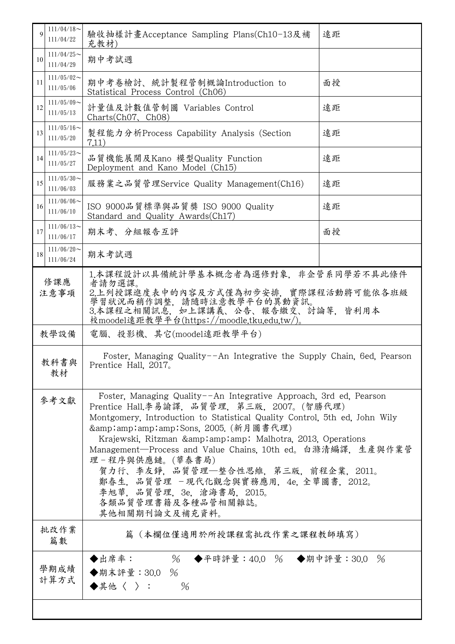| $\mathbf Q$                        | $111/04/18$ ~<br>驗收抽樣計畫Acceptance Sampling Plans(Ch10-13及補<br>111/04/22<br>充教材)      |                                                                                                                                                                                                                                                                                                                                                                                                                                                                                                                            | 遠距 |  |  |
|------------------------------------|--------------------------------------------------------------------------------------|----------------------------------------------------------------------------------------------------------------------------------------------------------------------------------------------------------------------------------------------------------------------------------------------------------------------------------------------------------------------------------------------------------------------------------------------------------------------------------------------------------------------------|----|--|--|
| 10                                 | $111/04/25$ ~<br>111/04/29                                                           | 期中考試週                                                                                                                                                                                                                                                                                                                                                                                                                                                                                                                      |    |  |  |
| 11                                 | $111/05/02$ ~<br>111/05/06                                                           | 期中考卷檢討、統計製程管制概論Introduction to<br>Statistical Process Control (Ch06)                                                                                                                                                                                                                                                                                                                                                                                                                                                       | 面授 |  |  |
| 12                                 | $111/05/09$ ~<br>計量值及計數值管制圖 Variables Control<br>111/05/13<br>Charts(Ch07, Ch08)     |                                                                                                                                                                                                                                                                                                                                                                                                                                                                                                                            | 遠距 |  |  |
| 13                                 | $111/05/16 \sim$<br>製程能力分析Process Capability Analysis (Section<br>111/05/20<br>7.11) |                                                                                                                                                                                                                                                                                                                                                                                                                                                                                                                            | 遠距 |  |  |
| 14                                 | $111/05/23$ ~<br>111/05/27                                                           | 品質機能展開及Kano 模型Quality Function<br>Deployment and Kano Model (Ch15)                                                                                                                                                                                                                                                                                                                                                                                                                                                         | 遠距 |  |  |
| 15                                 | $111/05/30$ ~<br>111/06/03                                                           | 服務業之品質管理Service Quality Management(Ch16)                                                                                                                                                                                                                                                                                                                                                                                                                                                                                   | 遠距 |  |  |
| 16                                 | $111/06/06$ ~<br>111/06/10                                                           | ISO 9000品質標準與品質獎 ISO 9000 Quality<br>Standard and Quality Awards (Ch17)                                                                                                                                                                                                                                                                                                                                                                                                                                                    | 遠距 |  |  |
| 17                                 | $111/06/13$ ~<br>111/06/17                                                           | 期末考、分組報告互評                                                                                                                                                                                                                                                                                                                                                                                                                                                                                                                 | 面授 |  |  |
| 18                                 | $111/06/20$ ~<br>111/06/24                                                           | 期末考試週                                                                                                                                                                                                                                                                                                                                                                                                                                                                                                                      |    |  |  |
| 修課應<br>注意事項                        |                                                                                      | 1.本課程設計以具備統計學基本概念者為選修對象,非企管系同學若不具此條件<br>者請勿選課。<br>2.上列授課進度表中的內容及方式僅為初步安排,實際課程活動將可能依各班級<br>學習狀況而稍作調整,請隨時注意教學平台的異動資訊。<br>3.本課程之相關訊息,如上課講義、公告、報告繳交、討論等,皆利用本<br>校moodel遠距教學平台(https://moodle.tku.edu.tw/)。                                                                                                                                                                                                                                                                                                                     |    |  |  |
|                                    | 教學設備                                                                                 | 電腦、投影機、其它(moodel遠距教學平台)                                                                                                                                                                                                                                                                                                                                                                                                                                                                                                    |    |  |  |
| 教科書與<br>Prentice Hall, 2017。<br>教材 |                                                                                      | Foster, Managing Quality--An Integrative the Supply Chain, 6ed, Pearson                                                                                                                                                                                                                                                                                                                                                                                                                                                    |    |  |  |
|                                    | 參考文獻                                                                                 | Foster, Managing Quality--An Integrative Approach, 3rd ed, Pearson<br>Prentice Hall.李易諭譯, 品質管理, 第三版, 2007。(智勝代理)<br>Montgomery, Introduction to Statistical Quality Control, 5th ed, John Wily<br>&Sons. 2005. (新月圖書代理)<br>Krajewski, Ritzman & amp; amp; Malhotra, 2013, Operations<br>Management-Process and Value Chains, 10th ed。白滌清編譯, 生產與作業管<br>理-程序與供應鏈。(華泰書局)<br>賀力行、李友錚,品質管理—整合性思維,第三版,前程企業,2011。<br>鄭春生, 品質管理 -現代化觀念與實務應用, 4e, 全華圖書, 2012。<br>李旭華. 品質管理, 3e, 滄海書局, 2015。<br>各類品質管理書籍及各種品管相關雜誌。<br>其他相關期刊論文及補充資料。 |    |  |  |
|                                    | 批改作業<br>篇數                                                                           | 篇(本欄位僅適用於所授課程需批改作業之課程教師填寫)                                                                                                                                                                                                                                                                                                                                                                                                                                                                                                 |    |  |  |
|                                    | 學期成績<br>計算方式                                                                         | % ◆平時評量:40.0 % ◆期中評量:30.0 %<br>◆出席率:<br>◆期末評量:30.0 %<br>◆其他〈 〉:<br>$\%$                                                                                                                                                                                                                                                                                                                                                                                                                                                    |    |  |  |
|                                    |                                                                                      |                                                                                                                                                                                                                                                                                                                                                                                                                                                                                                                            |    |  |  |